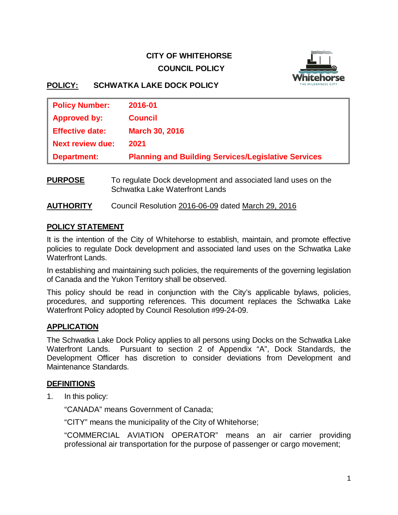# **CITY OF WHITEHORSE COUNCIL POLICY**



# **POLICY: SCHWATKA LAKE DOCK POLICY**

| <b>Policy Number:</b>   | 2016-01                                                    |
|-------------------------|------------------------------------------------------------|
| <b>Approved by:</b>     | <b>Council</b>                                             |
| <b>Effective date:</b>  | <b>March 30, 2016</b>                                      |
| <b>Next review due:</b> | 2021                                                       |
| <b>Department:</b>      | <b>Planning and Building Services/Legislative Services</b> |
|                         |                                                            |

- **PURPOSE** To regulate Dock development and associated land uses on the Schwatka Lake Waterfront Lands
- **AUTHORITY** Council Resolution 2016-06-09 dated March 29, 2016

# **POLICY STATEMENT**

It is the intention of the City of Whitehorse to establish, maintain, and promote effective policies to regulate Dock development and associated land uses on the Schwatka Lake Waterfront Lands.

In establishing and maintaining such policies, the requirements of the governing legislation of Canada and the Yukon Territory shall be observed.

This policy should be read in conjunction with the City's applicable bylaws, policies, procedures, and supporting references. This document replaces the Schwatka Lake Waterfront Policy adopted by Council Resolution #99-24-09.

# **APPLICATION**

The Schwatka Lake Dock Policy applies to all persons using Docks on the Schwatka Lake Waterfront Lands. Pursuant to section 2 of Appendix "A", Dock Standards, the Development Officer has discretion to consider deviations from Development and Maintenance Standards.

### **DEFINITIONS**

1. In this policy:

"CANADA" means Government of Canada;

"CITY" means the municipality of the City of Whitehorse;

"COMMERCIAL AVIATION OPERATOR" means an air carrier providing professional air transportation for the purpose of passenger or cargo movement;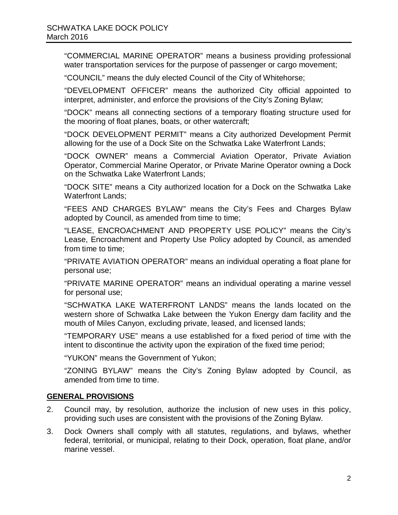"COMMERCIAL MARINE OPERATOR" means a business providing professional water transportation services for the purpose of passenger or cargo movement;

"COUNCIL" means the duly elected Council of the City of Whitehorse;

"DEVELOPMENT OFFICER" means the authorized City official appointed to interpret, administer, and enforce the provisions of the City's Zoning Bylaw;

"DOCK" means all connecting sections of a temporary floating structure used for the mooring of float planes, boats, or other watercraft;

"DOCK DEVELOPMENT PERMIT" means a City authorized Development Permit allowing for the use of a Dock Site on the Schwatka Lake Waterfront Lands;

"DOCK OWNER" means a Commercial Aviation Operator, Private Aviation Operator, Commercial Marine Operator, or Private Marine Operator owning a Dock on the Schwatka Lake Waterfront Lands;

"DOCK SITE" means a City authorized location for a Dock on the Schwatka Lake Waterfront Lands;

"FEES AND CHARGES BYLAW" means the City's Fees and Charges Bylaw adopted by Council, as amended from time to time;

"LEASE, ENCROACHMENT AND PROPERTY USE POLICY" means the City's Lease, Encroachment and Property Use Policy adopted by Council, as amended from time to time;

"PRIVATE AVIATION OPERATOR" means an individual operating a float plane for personal use;

"PRIVATE MARINE OPERATOR" means an individual operating a marine vessel for personal use;

"SCHWATKA LAKE WATERFRONT LANDS" means the lands located on the western shore of Schwatka Lake between the Yukon Energy dam facility and the mouth of Miles Canyon, excluding private, leased, and licensed lands;

"TEMPORARY USE" means a use established for a fixed period of time with the intent to discontinue the activity upon the expiration of the fixed time period;

"YUKON" means the Government of Yukon;

"ZONING BYLAW" means the City's Zoning Bylaw adopted by Council, as amended from time to time.

### **GENERAL PROVISIONS**

- 2. Council may, by resolution, authorize the inclusion of new uses in this policy, providing such uses are consistent with the provisions of the Zoning Bylaw.
- 3. Dock Owners shall comply with all statutes, regulations, and bylaws, whether federal, territorial, or municipal, relating to their Dock, operation, float plane, and/or marine vessel.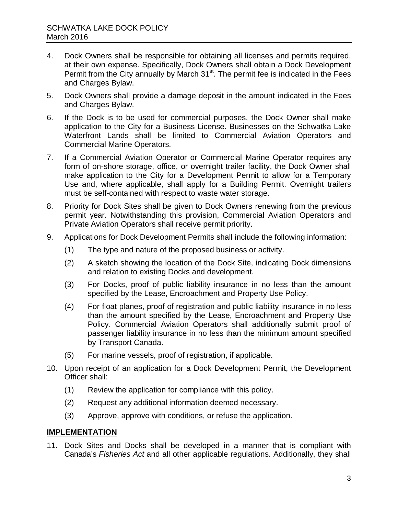- 4. Dock Owners shall be responsible for obtaining all licenses and permits required, at their own expense. Specifically, Dock Owners shall obtain a Dock Development Permit from the City annually by March 31<sup>st</sup>. The permit fee is indicated in the Fees and Charges Bylaw.
- 5. Dock Owners shall provide a damage deposit in the amount indicated in the Fees and Charges Bylaw.
- 6. If the Dock is to be used for commercial purposes, the Dock Owner shall make application to the City for a Business License. Businesses on the Schwatka Lake Waterfront Lands shall be limited to Commercial Aviation Operators and Commercial Marine Operators.
- 7. If a Commercial Aviation Operator or Commercial Marine Operator requires any form of on-shore storage, office, or overnight trailer facility, the Dock Owner shall make application to the City for a Development Permit to allow for a Temporary Use and, where applicable, shall apply for a Building Permit. Overnight trailers must be self-contained with respect to waste water storage.
- 8. Priority for Dock Sites shall be given to Dock Owners renewing from the previous permit year. Notwithstanding this provision, Commercial Aviation Operators and Private Aviation Operators shall receive permit priority.
- 9. Applications for Dock Development Permits shall include the following information:
	- (1) The type and nature of the proposed business or activity.
	- (2) A sketch showing the location of the Dock Site, indicating Dock dimensions and relation to existing Docks and development.
	- (3) For Docks, proof of public liability insurance in no less than the amount specified by the Lease, Encroachment and Property Use Policy.
	- (4) For float planes, proof of registration and public liability insurance in no less than the amount specified by the Lease, Encroachment and Property Use Policy. Commercial Aviation Operators shall additionally submit proof of passenger liability insurance in no less than the minimum amount specified by Transport Canada.
	- (5) For marine vessels, proof of registration, if applicable.
- 10. Upon receipt of an application for a Dock Development Permit, the Development Officer shall:
	- (1) Review the application for compliance with this policy.
	- (2) Request any additional information deemed necessary.
	- (3) Approve, approve with conditions, or refuse the application.

### **IMPLEMENTATION**

11. Dock Sites and Docks shall be developed in a manner that is compliant with Canada's *Fisheries Act* and all other applicable regulations. Additionally, they shall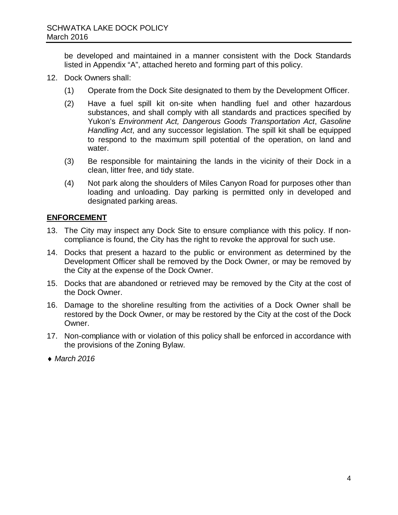be developed and maintained in a manner consistent with the Dock Standards listed in Appendix "A", attached hereto and forming part of this policy.

- 12. Dock Owners shall:
	- (1) Operate from the Dock Site designated to them by the Development Officer.
	- (2) Have a fuel spill kit on-site when handling fuel and other hazardous substances, and shall comply with all standards and practices specified by Yukon's *Environment Act, Dangerous Goods Transportation Act*, *Gasoline Handling Act*, and any successor legislation. The spill kit shall be equipped to respond to the maximum spill potential of the operation, on land and water.
	- (3) Be responsible for maintaining the lands in the vicinity of their Dock in a clean, litter free, and tidy state.
	- (4) Not park along the shoulders of Miles Canyon Road for purposes other than loading and unloading. Day parking is permitted only in developed and designated parking areas.

# **ENFORCEMENT**

- 13. The City may inspect any Dock Site to ensure compliance with this policy. If noncompliance is found, the City has the right to revoke the approval for such use.
- 14. Docks that present a hazard to the public or environment as determined by the Development Officer shall be removed by the Dock Owner, or may be removed by the City at the expense of the Dock Owner.
- 15. Docks that are abandoned or retrieved may be removed by the City at the cost of the Dock Owner.
- 16. Damage to the shoreline resulting from the activities of a Dock Owner shall be restored by the Dock Owner, or may be restored by the City at the cost of the Dock Owner.
- 17. Non-compliance with or violation of this policy shall be enforced in accordance with the provisions of the Zoning Bylaw.
- ♦ *March 2016*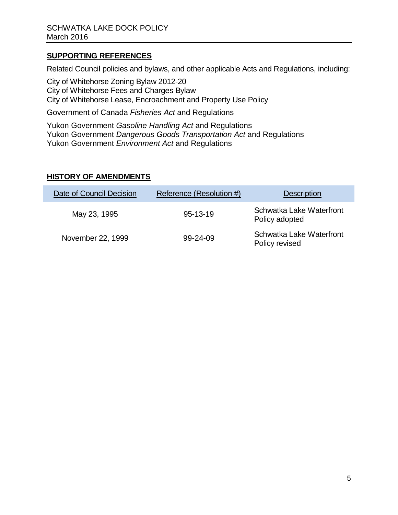# **SUPPORTING REFERENCES**

Related Council policies and bylaws, and other applicable Acts and Regulations, including:

City of Whitehorse Zoning Bylaw 2012-20 City of Whitehorse Fees and Charges Bylaw City of Whitehorse Lease, Encroachment and Property Use Policy

Government of Canada *Fisheries Act* and Regulations

Yukon Government *Gasoline Handling Act* and Regulations Yukon Government *Dangerous Goods Transportation Act* and Regulations Yukon Government *Environment Act* and Regulations

# **HISTORY OF AMENDMENTS**

| Date of Council Decision | Reference (Resolution #) | <b>Description</b>                         |
|--------------------------|--------------------------|--------------------------------------------|
| May 23, 1995             | $95 - 13 - 19$           | Schwatka Lake Waterfront<br>Policy adopted |
| November 22, 1999        | 99-24-09                 | Schwatka Lake Waterfront<br>Policy revised |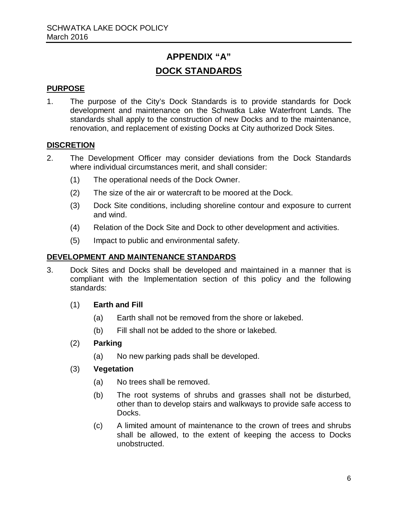# **APPENDIX "A" DOCK STANDARDS**

# **PURPOSE**

1. The purpose of the City's Dock Standards is to provide standards for Dock development and maintenance on the Schwatka Lake Waterfront Lands. The standards shall apply to the construction of new Docks and to the maintenance, renovation, and replacement of existing Docks at City authorized Dock Sites.

### **DISCRETION**

- 2. The Development Officer may consider deviations from the Dock Standards where individual circumstances merit, and shall consider:
	- (1) The operational needs of the Dock Owner.
	- (2) The size of the air or watercraft to be moored at the Dock.
	- (3) Dock Site conditions, including shoreline contour and exposure to current and wind.
	- (4) Relation of the Dock Site and Dock to other development and activities.
	- (5) Impact to public and environmental safety.

## **DEVELOPMENT AND MAINTENANCE STANDARDS**

- 3. Dock Sites and Docks shall be developed and maintained in a manner that is compliant with the Implementation section of this policy and the following standards:
	- (1) **Earth and Fill**
		- (a) Earth shall not be removed from the shore or lakebed.
		- (b) Fill shall not be added to the shore or lakebed.

### (2) **Parking**

(a) No new parking pads shall be developed.

### (3) **Vegetation**

- (a) No trees shall be removed.
- (b) The root systems of shrubs and grasses shall not be disturbed, other than to develop stairs and walkways to provide safe access to Docks.
- (c) A limited amount of maintenance to the crown of trees and shrubs shall be allowed, to the extent of keeping the access to Docks unobstructed.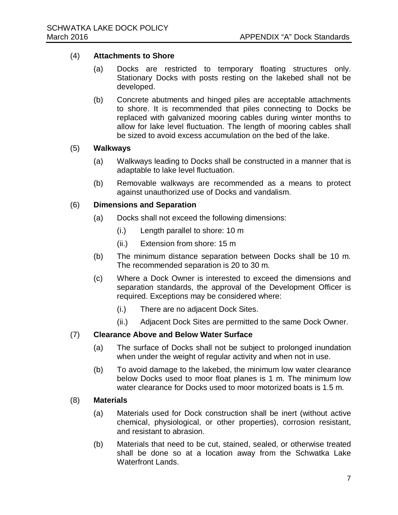#### (4) **Attachments to Shore**

- (a) Docks are restricted to temporary floating structures only. Stationary Docks with posts resting on the lakebed shall not be developed.
- (b) Concrete abutments and hinged piles are acceptable attachments to shore. It is recommended that piles connecting to Docks be replaced with galvanized mooring cables during winter months to allow for lake level fluctuation. The length of mooring cables shall be sized to avoid excess accumulation on the bed of the lake.

#### (5) **Walkways**

- (a) Walkways leading to Docks shall be constructed in a manner that is adaptable to lake level fluctuation.
- (b) Removable walkways are recommended as a means to protect against unauthorized use of Docks and vandalism.

#### (6) **Dimensions and Separation**

- (a) Docks shall not exceed the following dimensions:
	- (i.) Length parallel to shore: 10 m
	- (ii.) Extension from shore: 15 m
- (b) The minimum distance separation between Docks shall be 10 m. The recommended separation is 20 to 30 m.
- (c) Where a Dock Owner is interested to exceed the dimensions and separation standards, the approval of the Development Officer is required. Exceptions may be considered where:
	- (i.) There are no adjacent Dock Sites.
	- (ii.) Adjacent Dock Sites are permitted to the same Dock Owner.

#### (7) **Clearance Above and Below Water Surface**

- (a) The surface of Docks shall not be subject to prolonged inundation when under the weight of regular activity and when not in use.
- (b) To avoid damage to the lakebed, the minimum low water clearance below Docks used to moor float planes is 1 m. The minimum low water clearance for Docks used to moor motorized boats is 1.5 m.

#### (8) **Materials**

- (a) Materials used for Dock construction shall be inert (without active chemical, physiological, or other properties), corrosion resistant, and resistant to abrasion.
- (b) Materials that need to be cut, stained, sealed, or otherwise treated shall be done so at a location away from the Schwatka Lake Waterfront Lands.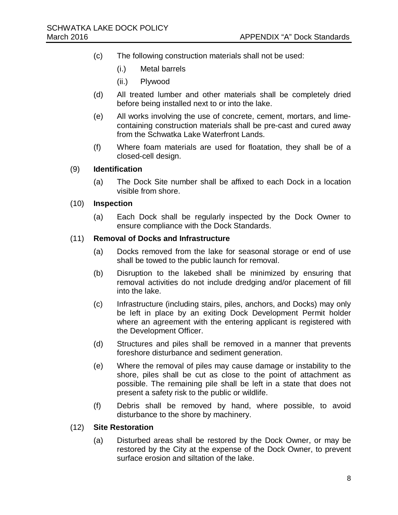- (c) The following construction materials shall not be used:
	- (i.) Metal barrels
	- (ii.) Plywood
- (d) All treated lumber and other materials shall be completely dried before being installed next to or into the lake.
- (e) All works involving the use of concrete, cement, mortars, and limecontaining construction materials shall be pre-cast and cured away from the Schwatka Lake Waterfront Lands.
- (f) Where foam materials are used for floatation, they shall be of a closed-cell design.

#### (9) **Identification**

(a) The Dock Site number shall be affixed to each Dock in a location visible from shore.

#### (10) **Inspection**

(a) Each Dock shall be regularly inspected by the Dock Owner to ensure compliance with the Dock Standards.

#### (11) **Removal of Docks and Infrastructure**

- (a) Docks removed from the lake for seasonal storage or end of use shall be towed to the public launch for removal.
- (b) Disruption to the lakebed shall be minimized by ensuring that removal activities do not include dredging and/or placement of fill into the lake.
- (c) Infrastructure (including stairs, piles, anchors, and Docks) may only be left in place by an exiting Dock Development Permit holder where an agreement with the entering applicant is registered with the Development Officer.
- (d) Structures and piles shall be removed in a manner that prevents foreshore disturbance and sediment generation.
- (e) Where the removal of piles may cause damage or instability to the shore, piles shall be cut as close to the point of attachment as possible. The remaining pile shall be left in a state that does not present a safety risk to the public or wildlife.
- (f) Debris shall be removed by hand, where possible, to avoid disturbance to the shore by machinery.

#### (12) **Site Restoration**

(a) Disturbed areas shall be restored by the Dock Owner, or may be restored by the City at the expense of the Dock Owner, to prevent surface erosion and siltation of the lake.